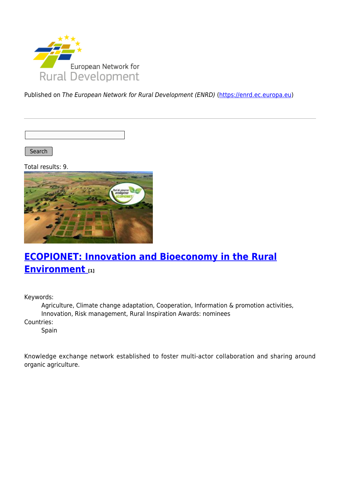

Published on The European Network for Rural Development (ENRD) [\(https://enrd.ec.europa.eu](https://enrd.ec.europa.eu))

Search

Total results: 9.



## **[ECOPIONET: Innovation and Bioeconomy in the Rural](https://enrd.ec.europa.eu/projects-practice/ecopionet-innovation-and-bioeconomy-rural-environment_en) [Environment](https://enrd.ec.europa.eu/projects-practice/ecopionet-innovation-and-bioeconomy-rural-environment_en) [1]**

Keywords:

Agriculture, Climate change adaptation, Cooperation, Information & promotion activities, Innovation, Risk management, Rural Inspiration Awards: nominees Countries:

Spain

Knowledge exchange network established to foster multi-actor collaboration and sharing around organic agriculture.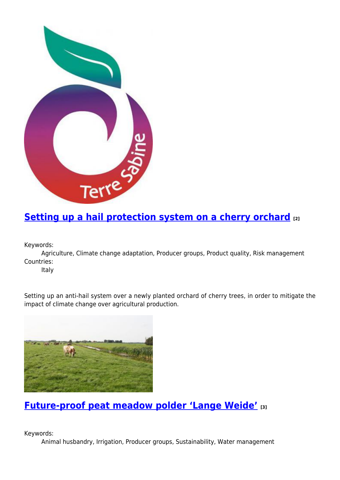

## **[Setting up a hail protection system on a cherry orchard](https://enrd.ec.europa.eu/projects-practice/setting-hail-protection-system-cherry-orchard_en) [2]**

Keywords:

Agriculture, Climate change adaptation, Producer groups, Product quality, Risk management Countries:

Italy

Setting up an anti-hail system over a newly planted orchard of cherry trees, in order to mitigate the impact of climate change over agricultural production.



**[Future-proof peat meadow polder 'Lange Weide'](https://enrd.ec.europa.eu/projects-practice/future-proof-peat-meadow-polder-lange-weide_en) [3]**

Keywords:

Animal husbandry, Irrigation, Producer groups, Sustainability, Water management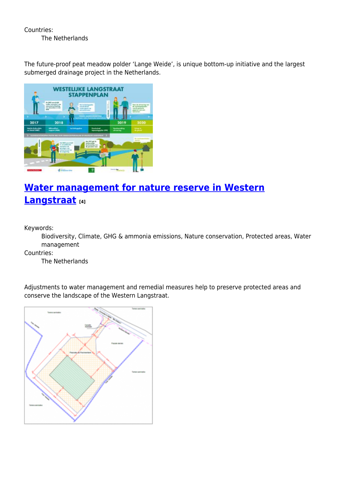Countries:

The Netherlands

The future-proof peat meadow polder 'Lange Weide', is unique bottom-up initiative and the largest submerged drainage project in the Netherlands.



# **[Water management for nature reserve in Western](https://enrd.ec.europa.eu/projects-practice/water-management-nature-reserve-western-langstraat_en) [Langstraat](https://enrd.ec.europa.eu/projects-practice/water-management-nature-reserve-western-langstraat_en) [4]**

Keywords:

Biodiversity, Climate, GHG & ammonia emissions, Nature conservation, Protected areas, Water management

Countries:

The Netherlands

Adjustments to water management and remedial measures help to preserve protected areas and conserve the landscape of the Western Langstraat.

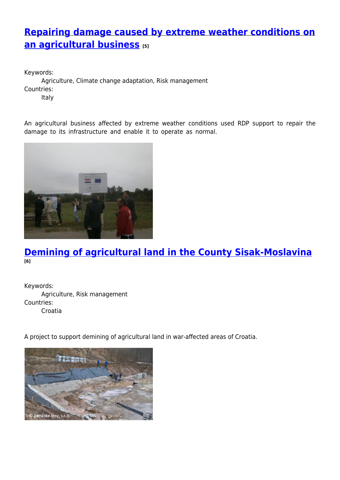## **[Repairing damage caused by extreme weather conditions on](https://enrd.ec.europa.eu/projects-practice/repairing-damage-caused-extreme-weather-conditions-agricultural-business_en) [an agricultural business](https://enrd.ec.europa.eu/projects-practice/repairing-damage-caused-extreme-weather-conditions-agricultural-business_en) [5]**

Keywords: Agriculture, Climate change adaptation, Risk management Countries: Italy

An agricultural business affected by extreme weather conditions used RDP support to repair the damage to its infrastructure and enable it to operate as normal.



#### **[Demining of agricultural land in the County Sisak-Moslavina](https://enrd.ec.europa.eu/projects-practice/demining-agricultural-land-county-sisak-moslavina_en) [6]**

Keywords: Agriculture, Risk management Countries: Croatia

A project to support demining of agricultural land in war-affected areas of Croatia.

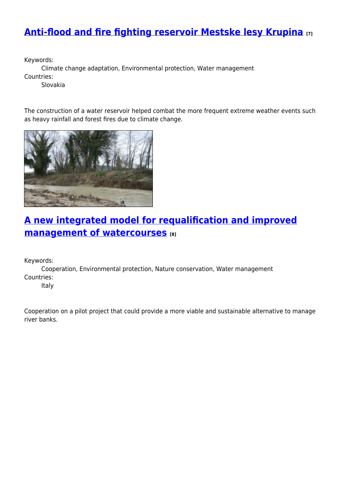### **[Anti-flood and fire fighting reservoir Mestske lesy Krupina](https://enrd.ec.europa.eu/projects-practice/anti-flood-and-fire-fighting-reservoir-mestske-lesy-krupina_en) [7]**

Keywords:

Climate change adaptation, Environmental protection, Water management Countries:

Slovakia

The construction of a water reservoir helped combat the more frequent extreme weather events such as heavy rainfall and forest fires due to climate change.



## **[A new integrated model for requalification and improved](https://enrd.ec.europa.eu/projects-practice/new-integrated-model-requalification-and-improved-management-watercourses_en) [management of watercourses](https://enrd.ec.europa.eu/projects-practice/new-integrated-model-requalification-and-improved-management-watercourses_en) [8]**

Keywords:

Cooperation, Environmental protection, Nature conservation, Water management Countries:

Italy

Cooperation on a pilot project that could provide a more viable and sustainable alternative to manage river banks.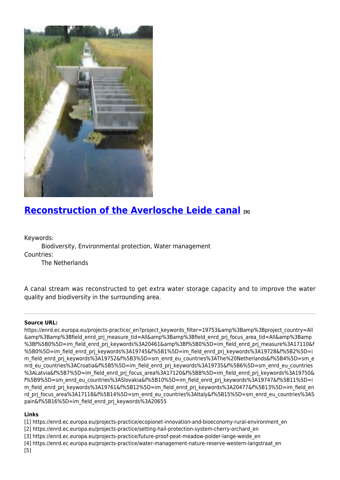

## **[Reconstruction of the Averlosche Leide canal](https://enrd.ec.europa.eu/projects-practice/reconstruction-averlosche-leide-canal_en) [9]**

Keywords:

Biodiversity, Environmental protection, Water management Countries:

The Netherlands

A canal stream was reconstructed to get extra water storage capacity and to improve the water quality and biodiversity in the surrounding area.

#### **Source URL:**

https://enrd.ec.europa.eu/projects-practice/\_en?project\_keywords\_filter=19753&amp%3Bamp%3Bproject\_country=All &amp%3Bamp%3Bfield\_enrd\_prj\_measure\_tid=All&amp%3Bamp%3Bfield\_enrd\_prj\_focus\_area\_tid=All&amp%3Bamp %3Bf%5B0%5D=im\_field\_enrd\_prj\_keywords%3A20461&amp%3Bf%5B0%5D=im\_field\_enrd\_prj\_measure%3A17110&f %5B0%5D=im\_field\_enrd\_prj\_keywords%3A19745&f%5B1%5D=im\_field\_enrd\_prj\_keywords%3A19728&f%5B2%5D=i m\_field\_enrd\_prj\_keywords%3A19752&f%5B3%5D=sm\_enrd\_eu\_countries%3AThe%20Netherlands&f%5B4%5D=sm\_e nrd eu countries%3ACroatia&f%5B5%5D=im field enrd prj keywords%3A19735&f%5B6%5D=sm enrd eu countries %3ALatvia&f%5B7%5D=im\_field\_enrd\_prj\_focus\_area%3A17120&f%5B8%5D=im\_field\_enrd\_prj\_keywords%3A19750& f%5B9%5D=sm\_enrd\_eu\_countries%3ASlovakia&f%5B10%5D=im\_field\_enrd\_prj\_keywords%3A19747&f%5B11%5D=i m\_field\_enrd\_prj\_keywords%3A19761&f%5B12%5D=im\_field\_enrd\_prj\_keywords%3A20477&f%5B13%5D=im\_field\_en rd prj focus area%3A17118&f%5B14%5D=sm\_enrd\_eu\_countries%3AItaly&f%5B15%5D=sm\_enrd\_eu\_countries%3AS pain&f%5B16%5D=im\_field\_enrd\_prj\_keywords%3A20655

#### **Links**

- [1] https://enrd.ec.europa.eu/projects-practice/ecopionet-innovation-and-bioeconomy-rural-environment\_en
- [2] https://enrd.ec.europa.eu/projects-practice/setting-hail-protection-system-cherry-orchard\_en
- [3] https://enrd.ec.europa.eu/projects-practice/future-proof-peat-meadow-polder-lange-weide\_en
- [4] https://enrd.ec.europa.eu/projects-practice/water-management-nature-reserve-western-langstraat\_en

[5]